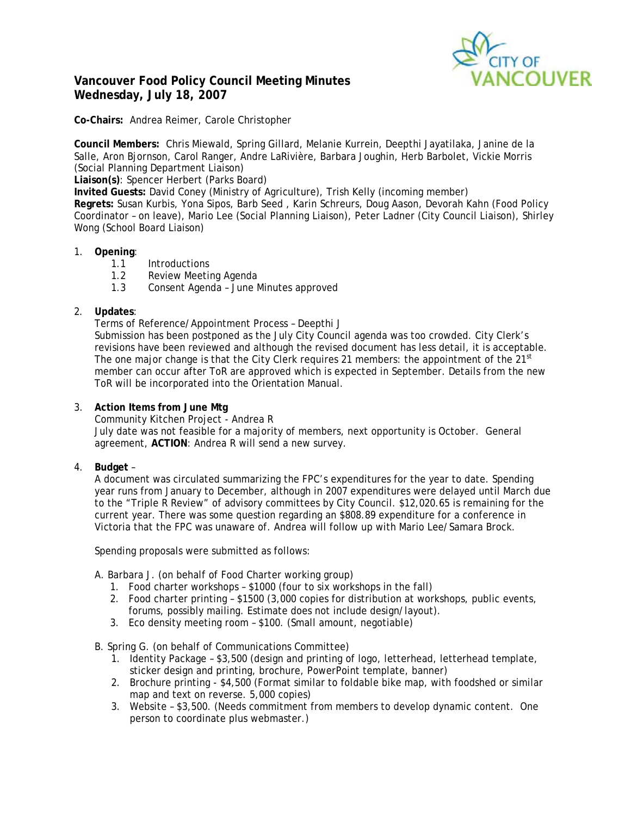

# **Vancouver Food Policy Council Meeting Minutes Wednesday, July 18, 2007**

**Co-Chairs:** Andrea Reimer, Carole Christopher

**Council Members:** Chris Miewald, Spring Gillard, Melanie Kurrein, Deepthi Jayatilaka, Janine de la Salle, Aron Bjornson, Carol Ranger, Andre LaRivière, Barbara Joughin, Herb Barbolet, Vickie Morris (Social Planning Department Liaison)

**Liaison(s)**: Spencer Herbert (Parks Board)

**Invited Guests:** David Coney (Ministry of Agriculture), Trish Kelly (incoming member)

**Regrets:** Susan Kurbis, Yona Sipos, Barb Seed , Karin Schreurs, Doug Aason, Devorah Kahn (Food Policy Coordinator – on leave), Mario Lee (Social Planning Liaison), Peter Ladner (City Council Liaison), Shirley Wong (School Board Liaison)

## 1. **Opening**:

- 1.1 Introductions
- 1.2 Review Meeting Agenda
- 1.3 Consent Agenda June Minutes approved

## 2. **Updates**:

Terms of Reference/Appointment Process – Deepthi J

Submission has been postponed as the July City Council agenda was too crowded. City Clerk's revisions have been reviewed and although the revised document has less detail, it is acceptable. The one major change is that the City Clerk requires 21 members: the appointment of the  $21<sup>st</sup>$ member can occur after ToR are approved which is expected in September. Details from the new ToR will be incorporated into the Orientation Manual.

### 3. **Action Items from June Mtg**

Community Kitchen Project - Andrea R

July date was not feasible for a majority of members, next opportunity is October. General agreement, **ACTION**: Andrea R will send a new survey.

## 4. **Budget** –

A document was circulated summarizing the FPC's expenditures for the year to date. Spending year runs from January to December, although in 2007 expenditures were delayed until March due to the "Triple R Review" of advisory committees by City Council. \$12,020.65 is remaining for the current year. There was some question regarding an \$808.89 expenditure for a conference in Victoria that the FPC was unaware of. Andrea will follow up with Mario Lee/Samara Brock.

Spending proposals were submitted as follows:

A. Barbara J. (on behalf of Food Charter working group)

- 1. Food charter workshops \$1000 (four to six workshops in the fall)
- 2. Food charter printing \$1500 (3,000 copies for distribution at workshops, public events, forums, possibly mailing. Estimate does not include design/layout).
- 3. Eco density meeting room \$100. (Small amount, negotiable)

B. Spring G. (on behalf of Communications Committee)

- 1. Identity Package \$3,500 (design and printing of logo, letterhead, letterhead template, sticker design and printing, brochure, PowerPoint template, banner)
- 2. Brochure printing \$4,500 (Format similar to foldable bike map, with foodshed or similar map and text on reverse. 5,000 copies)
- 3. Website \$3,500. (Needs commitment from members to develop dynamic content. One person to coordinate plus webmaster.)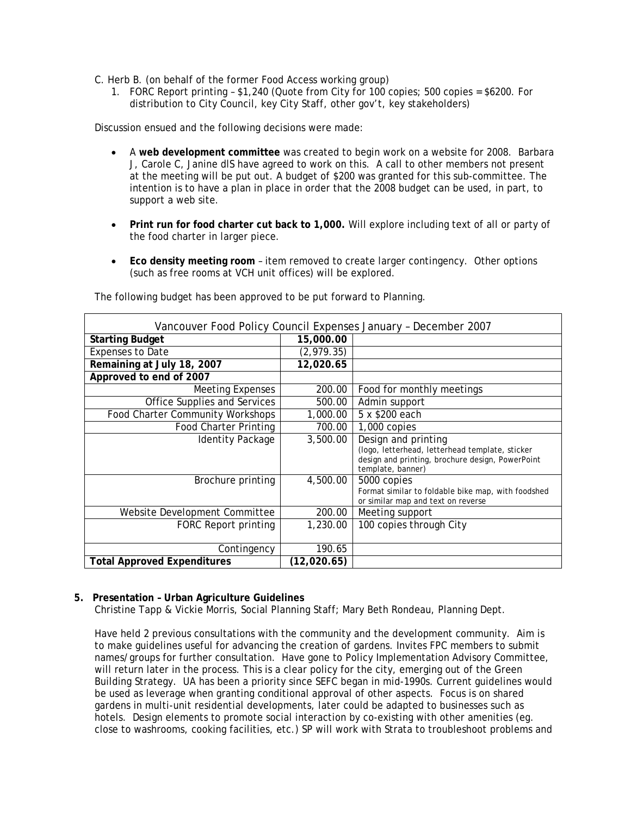C. Herb B. (on behalf of the former Food Access working group)

1. FORC Report printing – \$1,240 (Quote from City for 100 copies; 500 copies = \$6200. For distribution to City Council, key City Staff, other gov't, key stakeholders)

Discussion ensued and the following decisions were made:

- A **web development committee** was created to begin work on a website for 2008. Barbara J, Carole C, Janine dlS have agreed to work on this. A call to other members not present at the meeting will be put out. A budget of \$200 was granted for this sub-committee. The intention is to have a plan in place in order that the 2008 budget can be used, in part, to support a web site.
- **Print run for food charter cut back to 1,000.** Will explore including text of all or party of the food charter in larger piece.
- **Eco density meeting room** item removed to create larger contingency. Other options (such as free rooms at VCH unit offices) will be explored.

| Vancouver Food Policy Council Expenses January - December 2007 |             |                                                                                                                                                 |
|----------------------------------------------------------------|-------------|-------------------------------------------------------------------------------------------------------------------------------------------------|
| <b>Starting Budget</b>                                         | 15,000.00   |                                                                                                                                                 |
| <b>Expenses to Date</b>                                        | (2, 979.35) |                                                                                                                                                 |
| Remaining at July 18, 2007                                     | 12,020.65   |                                                                                                                                                 |
| Approved to end of 2007                                        |             |                                                                                                                                                 |
| <b>Meeting Expenses</b>                                        | 200.00      | Food for monthly meetings                                                                                                                       |
| Office Supplies and Services                                   | 500.00      | Admin support                                                                                                                                   |
| Food Charter Community Workshops                               | 1,000.00    | 5 x \$200 each                                                                                                                                  |
| <b>Food Charter Printing</b>                                   | 700.00      | 1,000 copies                                                                                                                                    |
| Identity Package                                               | 3,500.00    | Design and printing<br>(logo, letterhead, letterhead template, sticker<br>design and printing, brochure design, PowerPoint<br>template, banner) |
| Brochure printing                                              | 4,500.00    | 5000 copies<br>Format similar to foldable bike map, with foodshed<br>or similar map and text on reverse                                         |
| Website Development Committee                                  | 200.00      | Meeting support                                                                                                                                 |
| FORC Report printing                                           | 1,230.00    | 100 copies through City                                                                                                                         |
| Contingency                                                    | 190.65      |                                                                                                                                                 |
| <b>Total Approved Expenditures</b>                             | (12,020.65) |                                                                                                                                                 |

The following budget has been approved to be put forward to Planning.

## **5. Presentation – Urban Agriculture Guidelines**

Christine Tapp & Vickie Morris, Social Planning Staff; Mary Beth Rondeau, Planning Dept.

Have held 2 previous consultations with the community and the development community. Aim is to make guidelines useful for advancing the creation of gardens. Invites FPC members to submit names/groups for further consultation. Have gone to Policy Implementation Advisory Committee, will return later in the process. This is a clear policy for the city, emerging out of the Green Building Strategy. UA has been a priority since SEFC began in mid-1990s. Current guidelines would be used as leverage when granting conditional approval of other aspects. Focus is on shared gardens in multi-unit residential developments, later could be adapted to businesses such as hotels. Design elements to promote social interaction by co-existing with other amenities (eg. close to washrooms, cooking facilities, etc.) SP will work with Strata to troubleshoot problems and